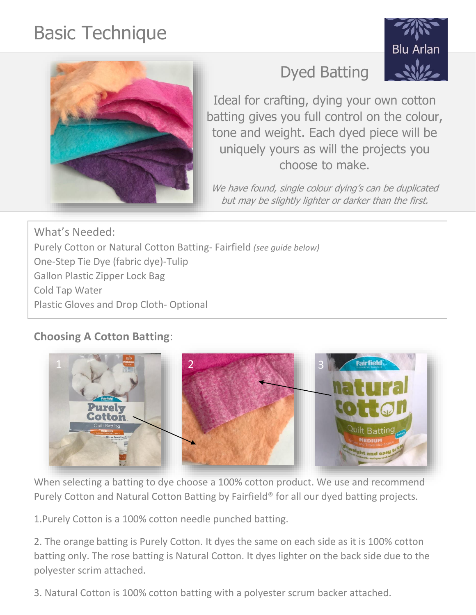# Basic Technique





Ideal for crafting, dying your own cotton batting gives you full control on the colour, tone and weight. Each dyed piece will be uniquely yours as will the projects you choose to make.

We have found, single colour dying's can be duplicated but may be slightly lighter or darker than the first.

What's Needed: Purely Cotton or Natural Cotton Batting- Fairfield *(see guide below)* One-Step Tie Dye (fabric dye)-Tulip Gallon Plastic Zipper Lock Bag Cold Tap Water Plastic Gloves and Drop Cloth- Optional

## **Choosing A Cotton Batting**:



When selecting a batting to dye choose a 100% cotton product. We use and recommend Purely Cotton and Natural Cotton Batting by Fairfield® for all our dyed batting projects.

1.Purely Cotton is a 100% cotton needle punched batting.

2. The orange batting is Purely Cotton. It dyes the same on each side as it is 100% cotton batting only. The rose batting is Natural Cotton. It dyes lighter on the back side due to the polyester scrim attached.

3. Natural Cotton is 100% cotton batting with a polyester scrum backer attached.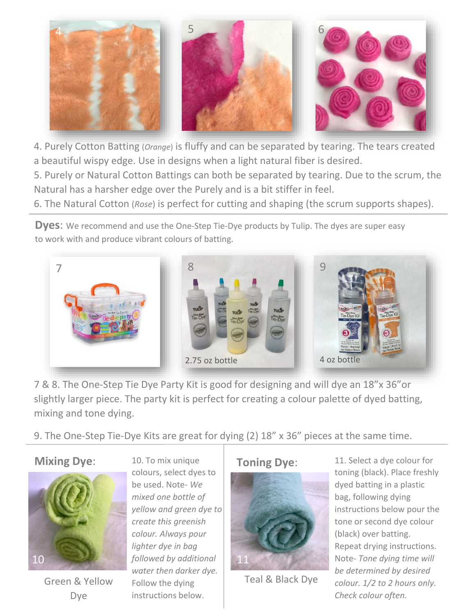

4. Purely Cotton Batting (*Orange*) is fluffy and can be separated by tearing. The tears created a beautiful wispy edge. Use in designs when a light natural fiber is desired.

5. Purely or Natural Cotton Battings can both be separated by tearing. Due to the scrum, the Natural has a harsher edge over the Purely and is a bit stiffer in feel.

6. The Natural Cotton (*Rose*) is perfect for cutting and shaping (the scrum supports shapes).

**Dyes**: We recommend and use the One-Step Tie-Dye products by Tulip. The dyes are super easy to work with and produce vibrant colours of batting.



7 & 8. The One-Step Tie Dye Party Kit is good for designing and will dye an 18"x 36"or slightly larger piece. The party kit is perfect for creating a colour palette of dyed batting, mixing and tone dying.

9. The One-Step Tie-Dye Kits are great for dying (2) 18" x 36" pieces at the same time.

### **Mixing Dye**:



Green & Yellow Dye

10. To mix unique colours, select dyes to be used. Note- *We mixed one bottle of yellow and green dye to create this greenish colour. Always pour lighter dye in bag followed by additional water then darker dye.* Follow the dying instructions below.

#### **Toning Dye**:



Teal & Black Dye

11. Select a dye colour for toning (black). Place freshly dyed batting in a plastic bag, following dying instructions below pour the tone or second dye colour (black) over batting. Repeat drying instructions. Note- *Tone dying time will be determined by desired colour. 1/2 to 2 hours only. Check colour often.*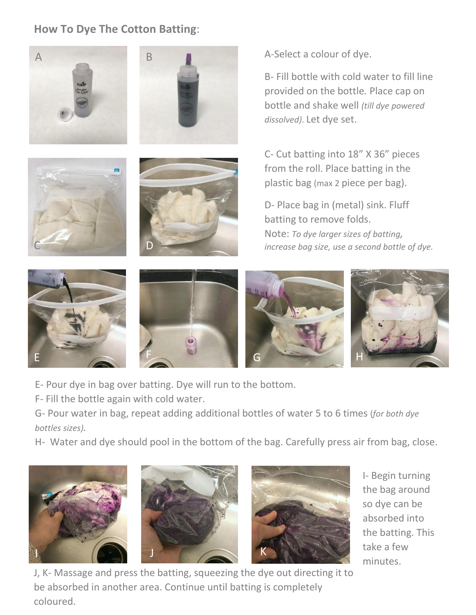## **How To Dye The Cotton Batting**:



C





B- Fill bottle with cold water to fill line provided on the bottle*.* Place cap on bottle and shake well *(till dye powered dissolved)*. Let dye set.

C- Cut batting into 18" X 36" pieces from the roll. Place batting in the plastic bag (max 2 piece per bag).

D- Place bag in (metal) sink. Fluff batting to remove folds. Note: *To dye larger sizes of batting, increase bag size, use a second bottle of dye.*



E- Pour dye in bag over batting. Dye will run to the bottom.

D

F- Fill the bottle again with cold water.

G- Pour water in bag, repeat adding additional bottles of water 5 to 6 times (*for both dye bottles sizes).*

H- Water and dye should pool in the bottom of the bag. Carefully press air from bag, close.







I- Begin turning the bag around so dye can be absorbed into the batting. This take a few minutes.

J, K- Massage and press the batting, squeezing the dye out directing it to be absorbed in another area. Continue until batting is completely coloured.